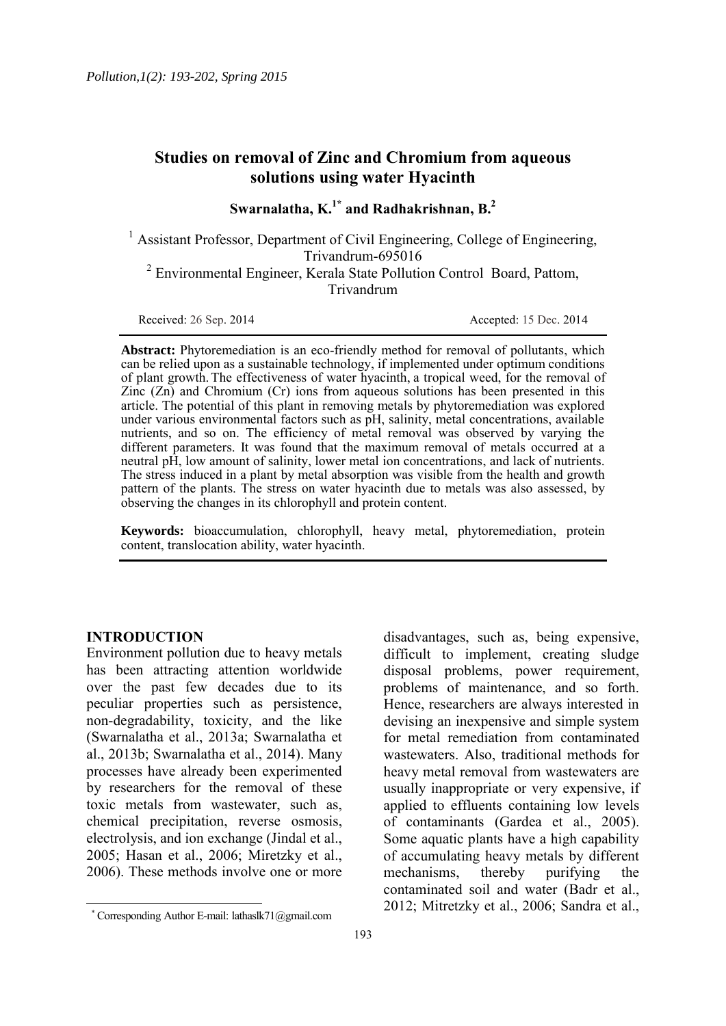# **Studies on removal of Zinc and Chromium from aqueous solutions using water Hyacinth**

**Swarnalatha, K.1\* and Radhakrishnan, B.<sup>2</sup>** 

<sup>1</sup> Assistant Professor, Department of Civil Engineering, College of Engineering, Trivandrum-695016 <sup>2</sup> Environmental Engineer, Kerala State Pollution Control Board, Pattom, Trivandrum

Received: 26 Sep. 2014

Accepted: 15 Dec. 2014

Abstract: Phytoremediation is an eco-friendly method for removal of pollutants, which can be relied upon as a sustainable technology, if implemented under optimum conditions of plant growth. The effectiveness of water hyacinth, a tropical weed, for the removal of  $\overline{\text{Zinc}}$  ( $\overline{\text{Zn}}$ ) and Chromium ( $\overline{\text{Cr}}$ ) ions from aqueous solutions has been presented in this article. The potential of this plant in removing metals by phytoremediation was explored under various environmental factors such as pH, salinity, metal concentrations, available nutrients, and so on. The efficiency of metal removal was observed by varying the different parameters. It was found that the maximum removal of metals occurred at a neutral pH, low amount of salinity, lower metal ion concentrations, and lack of nutrients. The stress induced in a plant by metal absorption was visible from the health and growth pattern of the plants. The stress on water hyacinth due to metals was also assessed, by observing the changes in its chlorophyll and protein content.

**Keywords:** bioaccumulation, chlorophyll, heavy metal, phytoremediation, protein content, translocation ability, water hyacinth.

# **INTRODUCTION**

 $\overline{\phantom{a}}$ 

Environment pollution due to heavy metals has been attracting attention worldwide over the past few decades due to its peculiar properties such as persistence, non-degradability, toxicity, and the like (Swarnalatha et al., 2013a; Swarnalatha et al., 2013b; Swarnalatha et al., 2014). Many processes have already been experimented by researchers for the removal of these toxic metals from wastewater, such as, chemical precipitation, reverse osmosis, electrolysis, and ion exchange (Jindal et al., 2005; Hasan et al., 2006; Miretzky et al., 2006). These methods involve one or more

disadvantages, such as, being expensive, difficult to implement, creating sludge disposal problems, power requirement, problems of maintenance, and so forth. Hence, researchers are always interested in devising an inexpensive and simple system for metal remediation from contaminated wastewaters. Also, traditional methods for heavy metal removal from wastewaters are usually inappropriate or very expensive, if applied to effluents containing low levels of contaminants (Gardea et al., 2005). Some aquatic plants have a high capability of accumulating heavy metals by different mechanisms, thereby purifying the contaminated soil and water (Badr et al., 2012; Mitretzky et al., 2006; Sandra et al.,

 Corresponding Author E-mail: lathaslk71@gmail.com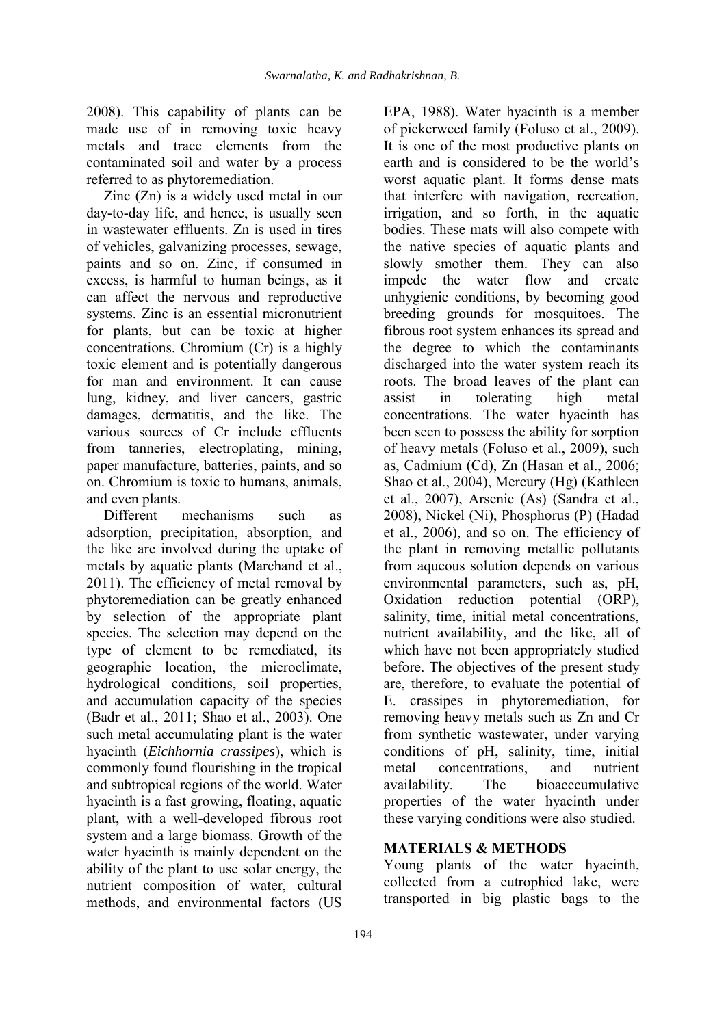2008). This capability of plants can be made use of in removing toxic heavy metals and trace elements from the contaminated soil and water by a process referred to as phytoremediation.

Zinc (Zn) is a widely used metal in our day-to-day life, and hence, is usually seen in wastewater effluents. Zn is used in tires of vehicles, galvanizing processes, sewage, paints and so on. Zinc, if consumed in excess, is harmful to human beings, as it can affect the nervous and reproductive systems. Zinc is an essential micronutrient for plants, but can be toxic at higher concentrations. Chromium (Cr) is a highly toxic element and is potentially dangerous for man and environment. It can cause lung, kidney, and liver cancers, gastric damages, dermatitis, and the like. The various sources of Cr include effluents from tanneries, electroplating, mining, paper manufacture, batteries, paints, and so on. Chromium is toxic to humans, animals, and even plants.

Different mechanisms such as adsorption, precipitation, absorption, and the like are involved during the uptake of metals by aquatic plants (Marchand et al., 2011). The efficiency of metal removal by phytoremediation can be greatly enhanced by selection of the appropriate plant species. The selection may depend on the type of element to be remediated, its geographic location, the microclimate, hydrological conditions, soil properties, and accumulation capacity of the species (Badr et al., 2011; Shao et al., 2003). One such metal accumulating plant is the water hyacinth (*Eichhornia crassipes*), which is commonly found flourishing in the tropical and subtropical regions of the world. Water hyacinth is a fast growing, floating, aquatic plant, with a well-developed fibrous root system and a large biomass. Growth of the water hyacinth is mainly dependent on the ability of the plant to use solar energy, the nutrient composition of water, cultural methods, and environmental factors (US

EPA, 1988). Water hyacinth is a member of pickerweed family (Foluso et al., 2009). It is one of the most productive plants on earth and is considered to be the world's worst aquatic plant. It forms dense mats that interfere with navigation, recreation, irrigation, and so forth, in the aquatic bodies. These mats will also compete with the native species of aquatic plants and slowly smother them. They can also impede the water flow and create unhygienic conditions, by becoming good breeding grounds for mosquitoes. The fibrous root system enhances its spread and the degree to which the contaminants discharged into the water system reach its roots. The broad leaves of the plant can assist in tolerating high metal concentrations. The water hyacinth has been seen to possess the ability for sorption of heavy metals (Foluso et al., 2009), such as, Cadmium (Cd), Zn (Hasan et al., 2006; Shao et al., 2004), Mercury (Hg) (Kathleen et al., 2007), Arsenic (As) (Sandra et al., 2008), Nickel (Ni), Phosphorus (P) (Hadad et al., 2006), and so on. The efficiency of the plant in removing metallic pollutants from aqueous solution depends on various environmental parameters, such as, pH, Oxidation reduction potential (ORP), salinity, time, initial metal concentrations, nutrient availability, and the like, all of which have not been appropriately studied before. The objectives of the present study are, therefore, to evaluate the potential of E. crassipes in phytoremediation, for removing heavy metals such as Zn and Cr from synthetic wastewater, under varying conditions of pH, salinity, time, initial metal concentrations, and nutrient availability. The bioacccumulative properties of the water hyacinth under these varying conditions were also studied.

# **MATERIALS & METHODS**

Young plants of the water hyacinth, collected from a eutrophied lake, were transported in big plastic bags to the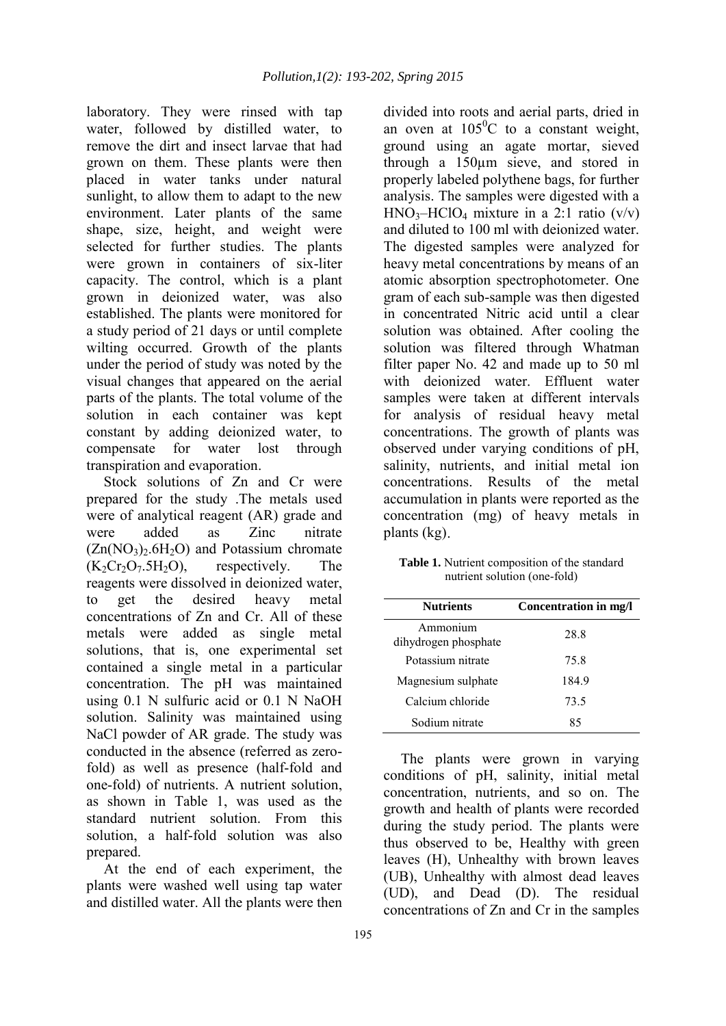laboratory. They were rinsed with tap water, followed by distilled water, to remove the dirt and insect larvae that had grown on them. These plants were then placed in water tanks under natural sunlight, to allow them to adapt to the new environment. Later plants of the same shape, size, height, and weight were selected for further studies. The plants were grown in containers of six-liter capacity. The control, which is a plant grown in deionized water, was also established. The plants were monitored for a study period of 21 days or until complete wilting occurred. Growth of the plants under the period of study was noted by the visual changes that appeared on the aerial parts of the plants. The total volume of the solution in each container was kept constant by adding deionized water, to compensate for water lost through transpiration and evaporation.

Stock solutions of Zn and Cr were prepared for the study .The metals used were of analytical reagent (AR) grade and were added as Zinc nitrate  $(Zn(NO<sub>3</sub>)<sub>2</sub>.6H<sub>2</sub>O)$  and Potassium chromate<br> $(K<sub>2</sub>Cr<sub>2</sub>O<sub>7</sub>.5H<sub>2</sub>O)$ , respectively. The  $(K_2Cr_2O_7.5H_2O)$ , respectively. The reagents were dissolved in deionized water, to get the desired heavy metal concentrations of Zn and Cr. All of these metals were added as single metal solutions, that is, one experimental set contained a single metal in a particular concentration. The pH was maintained using 0.1 N sulfuric acid or 0.1 N NaOH solution. Salinity was maintained using NaCl powder of AR grade. The study was conducted in the absence (referred as zerofold) as well as presence (half-fold and one-fold) of nutrients. A nutrient solution, as shown in Table 1, was used as the standard nutrient solution. From this solution, a half-fold solution was also prepared.

At the end of each experiment, the plants were washed well using tap water and distilled water. All the plants were then

divided into roots and aerial parts, dried in an oven at  $105^{\circ}$ C to a constant weight. ground using an agate mortar, sieved through a 150µm sieve, and stored in properly labeled polythene bags, for further analysis. The samples were digested with a  $HNO<sub>3</sub>–HClO<sub>4</sub> mixture in a 2:1 ratio (v/v)$ and diluted to 100 ml with deionized water. The digested samples were analyzed for heavy metal concentrations by means of an atomic absorption spectrophotometer. One gram of each sub-sample was then digested in concentrated Nitric acid until a clear solution was obtained. After cooling the solution was filtered through Whatman filter paper No. 42 and made up to 50 ml with deionized water. Effluent water samples were taken at different intervals for analysis of residual heavy metal concentrations. The growth of plants was observed under varying conditions of pH, salinity, nutrients, and initial metal ion concentrations. Results of the metal accumulation in plants were reported as the concentration (mg) of heavy metals in plants (kg).

| <b>Table 1.</b> Nutrient composition of the standard |
|------------------------------------------------------|
| nutrient solution (one-fold)                         |

| <b>Nutrients</b>                 | Concentration in mg/l |
|----------------------------------|-----------------------|
| Ammonium<br>dihydrogen phosphate | 28.8                  |
| Potassium nitrate                | 75.8                  |
| Magnesium sulphate               | 184.9                 |
| Calcium chloride                 | 73.5                  |
| Sodium nitrate                   | 85                    |

The plants were grown in varying conditions of pH, salinity, initial metal concentration, nutrients, and so on. The growth and health of plants were recorded during the study period. The plants were thus observed to be, Healthy with green leaves (H), Unhealthy with brown leaves (UB), Unhealthy with almost dead leaves (UD), and Dead (D). The residual concentrations of Zn and Cr in the samples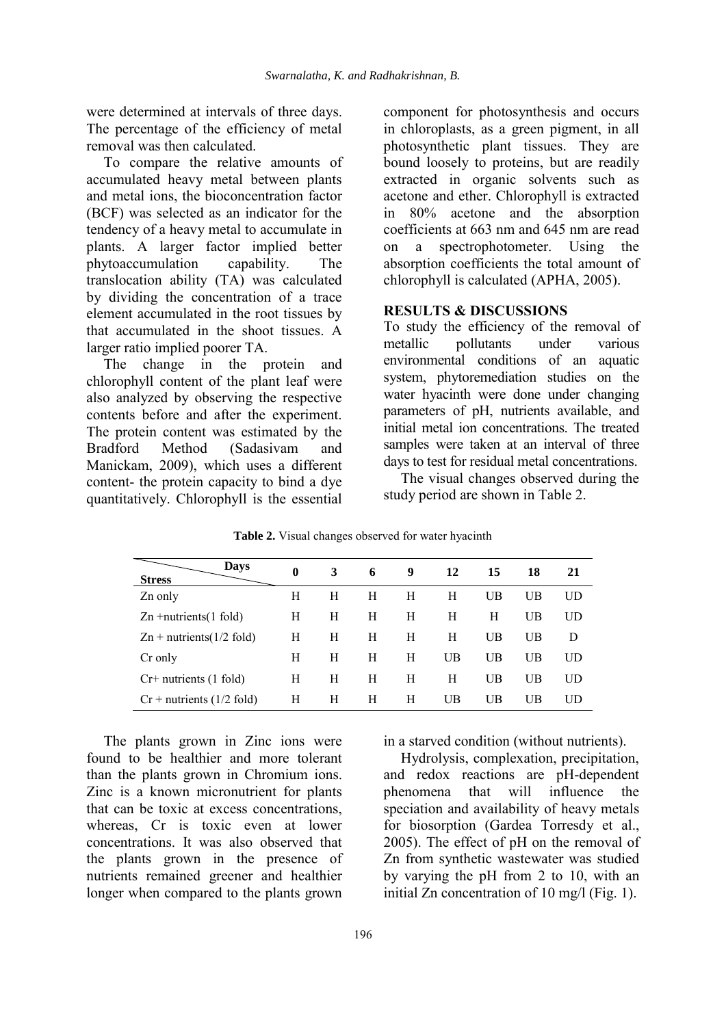were determined at intervals of three days. The percentage of the efficiency of metal removal was then calculated.

To compare the relative amounts of accumulated heavy metal between plants and metal ions, the bioconcentration factor (BCF) was selected as an indicator for the tendency of a heavy metal to accumulate in plants. A larger factor implied better phytoaccumulation capability. The translocation ability (TA) was calculated by dividing the concentration of a trace element accumulated in the root tissues by that accumulated in the shoot tissues. A larger ratio implied poorer TA.

The change in the protein and chlorophyll content of the plant leaf were also analyzed by observing the respective contents before and after the experiment. The protein content was estimated by the Bradford Method (Sadasivam and Manickam, 2009), which uses a different content- the protein capacity to bind a dye quantitatively. Chlorophyll is the essential

component for photosynthesis and occurs in chloroplasts, as a green pigment, in all photosynthetic plant tissues. They are bound loosely to proteins, but are readily extracted in organic solvents such as acetone and ether. Chlorophyll is extracted in 80% acetone and the absorption coefficients at 663 nm and 645 nm are read on a spectrophotometer. Using the absorption coefficients the total amount of chlorophyll is calculated (APHA, 2005).

### **RESULTS & DISCUSSIONS**

To study the efficiency of the removal of metallic pollutants under various environmental conditions of an aquatic system, phytoremediation studies on the water hyacinth were done under changing parameters of pH, nutrients available, and initial metal ion concentrations. The treated samples were taken at an interval of three days to test for residual metal concentrations.

The visual changes observed during the study period are shown in Table 2.

| <b>Days</b><br><b>Stress</b>      | $\mathbf{0}$ | 3 | 6 | 9 | 12 | 15 | 18 | 21 |
|-----------------------------------|--------------|---|---|---|----|----|----|----|
| Zn only                           | H            | Н | H | H | H  | UB | UB | UD |
| $Zn$ +nutrients(1 fold)           | Н            | Н | H | H | H  | Н  | UB | UD |
| $\text{Zn}$ + nutrients(1/2 fold) | Н            | H | Н | Н | Н  | UB | UB | D  |
| Cr only                           | Н            | Н | H | H | UB | UB | UB | UD |
| $Cr+$ nutrients (1 fold)          | H            | H | H | Н | H  | UB | UB | UD |
| $Cr +$ nutrients (1/2 fold)       | Н            | Н | Н | H | UB | UB | UB | UD |

**Table 2.** Visual changes observed for water hyacinth

The plants grown in Zinc ions were found to be healthier and more tolerant than the plants grown in Chromium ions. Zinc is a known micronutrient for plants that can be toxic at excess concentrations, whereas, Cr is toxic even at lower concentrations. It was also observed that the plants grown in the presence of nutrients remained greener and healthier longer when compared to the plants grown

in a starved condition (without nutrients).

Hydrolysis, complexation, precipitation, and redox reactions are pH-dependent phenomena that will influence the speciation and availability of heavy metals for biosorption (Gardea Torresdy et al., 2005). The effect of pH on the removal of Zn from synthetic wastewater was studied by varying the pH from 2 to 10, with an initial Zn concentration of 10 mg/l (Fig. 1).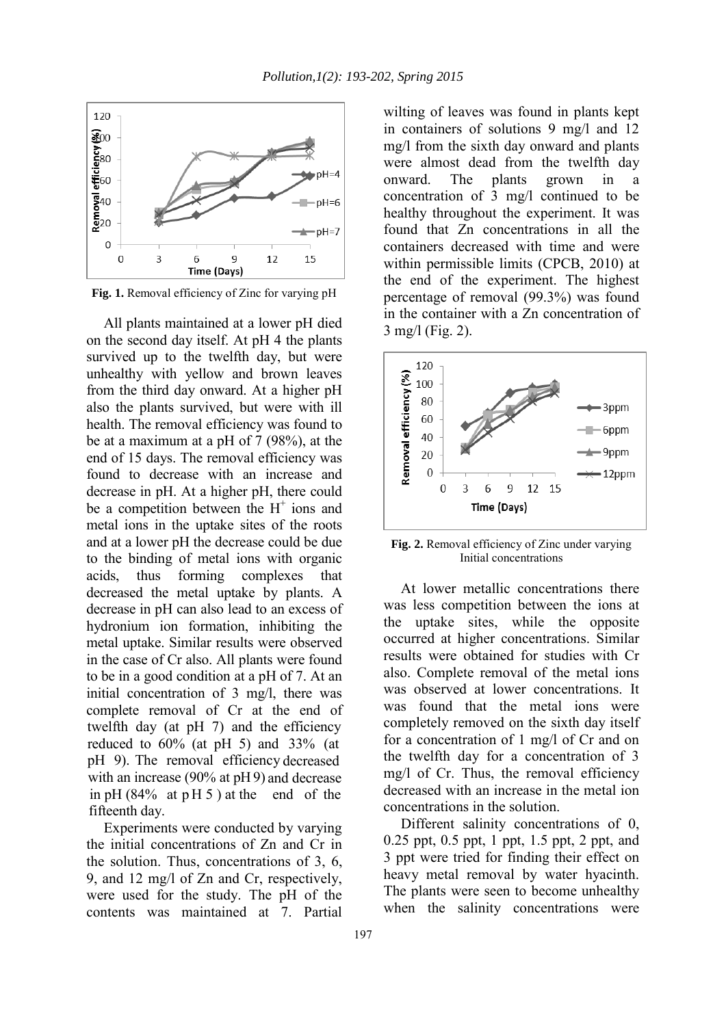

**Fig. 1.** Removal efficiency of Zinc for varying pH

All plants maintained at a lower pH died on the second day itself. At pH 4 the plants survived up to the twelfth day, but were unhealthy with yellow and brown leaves from the third day onward. At a higher pH also the plants survived, but were with ill health. The removal efficiency was found to be at a maximum at a pH of 7 (98%), at the end of 15 days. The removal efficiency was found to decrease with an increase and decrease in pH. At a higher pH, there could be a competition between the  $H^+$  ions and metal ions in the uptake sites of the roots and at a lower pH the decrease could be due to the binding of metal ions with organic acids, thus forming complexes that decreased the metal uptake by plants. A decrease in pH can also lead to an excess of hydronium ion formation, inhibiting the metal uptake. Similar results were observed in the case of Cr also. All plants were found to be in a good condition at a pH of 7. At an initial concentration of 3 mg/l, there was complete removal of Cr at the end of twelfth day (at pH 7) and the efficiency reduced to 60% (at pH 5) and 33% (at pH 9). The removal efficiency decreased with an increase (90% at pH 9) and decrease in pH  $(84\%$  at pH 5 ) at the end of the fifteenth day.

Experiments were conducted by varying the initial concentrations of Zn and Cr in the solution. Thus, concentrations of 3, 6, 9, and 12 mg/l of Zn and Cr, respectively, were used for the study. The pH of the contents was maintained at 7. Partial wilting of leaves was found in plants kept in containers of solutions 9 mg/l and 12 mg/l from the sixth day onward and plants were almost dead from the twelfth day onward. The plants grown in a concentration of 3 mg/l continued to be healthy throughout the experiment. It was found that Zn concentrations in all the containers decreased with time and were within permissible limits (CPCB, 2010) at the end of the experiment. The highest percentage of removal (99.3%) was found in the container with a Zn concentration of 3 mg/l (Fig. 2).



**Fig. 2.** Removal efficiency of Zinc under varying Initial concentrations

At lower metallic concentrations there was less competition between the ions at the uptake sites, while the opposite occurred at higher concentrations. Similar results were obtained for studies with Cr also. Complete removal of the metal ions was observed at lower concentrations. It was found that the metal ions were completely removed on the sixth day itself for a concentration of 1 mg/l of Cr and on the twelfth day for a concentration of 3 mg/l of Cr. Thus, the removal efficiency decreased with an increase in the metal ion concentrations in the solution.

Different salinity concentrations of 0, 0.25 ppt, 0.5 ppt, 1 ppt, 1.5 ppt, 2 ppt, and 3 ppt were tried for finding their effect on heavy metal removal by water hyacinth. The plants were seen to become unhealthy when the salinity concentrations were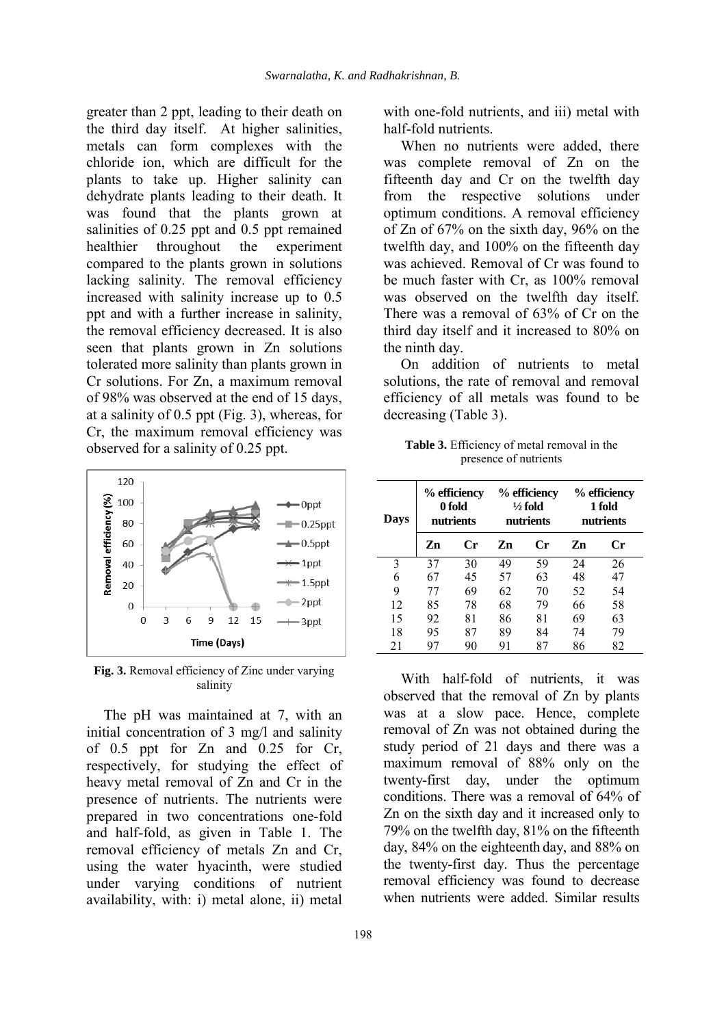greater than 2 ppt, leading to their death on the third day itself. At higher salinities, metals can form complexes with the chloride ion, which are difficult for the plants to take up. Higher salinity can dehydrate plants leading to their death. It was found that the plants grown at salinities of 0.25 ppt and 0.5 ppt remained healthier throughout the experiment compared to the plants grown in solutions lacking salinity. The removal efficiency increased with salinity increase up to 0.5 ppt and with a further increase in salinity, the removal efficiency decreased. It is also seen that plants grown in Zn solutions tolerated more salinity than plants grown in Cr solutions. For Zn, a maximum removal of 98% was observed at the end of 15 days, at a salinity of 0.5 ppt (Fig. 3), whereas, for Cr, the maximum removal efficiency was observed for a salinity of 0.25 ppt.



**Fig. 3.** Removal efficiency of Zinc under varying salinity

The pH was maintained at 7, with an initial concentration of 3 mg/l and salinity of 0.5 ppt for Zn and 0.25 for Cr, respectively, for studying the effect of heavy metal removal of Zn and Cr in the presence of nutrients. The nutrients were prepared in two concentrations one-fold and half-fold, as given in Table 1. The removal efficiency of metals Zn and Cr, using the water hyacinth, were studied under varying conditions of nutrient availability, with: i) metal alone, ii) metal

optimum conditions. A removal efficiency of Zn of 67% on the sixth day, 96% on the twelfth day, and 100% on the fifteenth day was achieved. Removal of Cr was found to

be much faster with Cr, as 100% removal was observed on the twelfth day itself. There was a removal of 63% of Cr on the third day itself and it increased to 80% on the ninth day.

with one-fold nutrients, and iii) metal with

When no nutrients were added, there was complete removal of Zn on the fifteenth day and Cr on the twelfth day from the respective solutions under

half-fold nutrients.

On addition of nutrients to metal solutions, the rate of removal and removal efficiency of all metals was found to be decreasing (Table 3).

**Table 3.** Efficiency of metal removal in the presence of nutrients

| Days | % efficiency<br>0 fold<br>nutrients |    |    | % efficiency<br>$\frac{1}{2}$ fold<br>nutrients | % efficiency<br>1 fold<br>nutrients |    |
|------|-------------------------------------|----|----|-------------------------------------------------|-------------------------------------|----|
|      | Zn                                  | Cr | Zn | Cr                                              | Zn                                  | Сr |
| 3    | 37                                  | 30 | 49 | 59                                              | 24                                  | 26 |
| 6    | 67                                  | 45 | 57 | 63                                              | 48                                  | 47 |
| 9    | 77                                  | 69 | 62 | 70                                              | 52                                  | 54 |
| 12   | 85                                  | 78 | 68 | 79                                              | 66                                  | 58 |
| 15   | 92                                  | 81 | 86 | 81                                              | 69                                  | 63 |
| 18   | 95                                  | 87 | 89 | 84                                              | 74                                  | 79 |
| 21   |                                     | 90 | 91 | 87                                              | 86                                  | 82 |

With half-fold of nutrients, it was observed that the removal of Zn by plants was at a slow pace. Hence, complete removal of Zn was not obtained during the study period of 21 days and there was a maximum removal of 88% only on the twenty-first day, under the optimum conditions. There was a removal of 64% of Zn on the sixth day and it increased only to 79% on the twelfth day, 81% on the fifteenth day, 84% on the eighteenth day, and 88% on the twenty-first day. Thus the percentage removal efficiency was found to decrease when nutrients were added. Similar results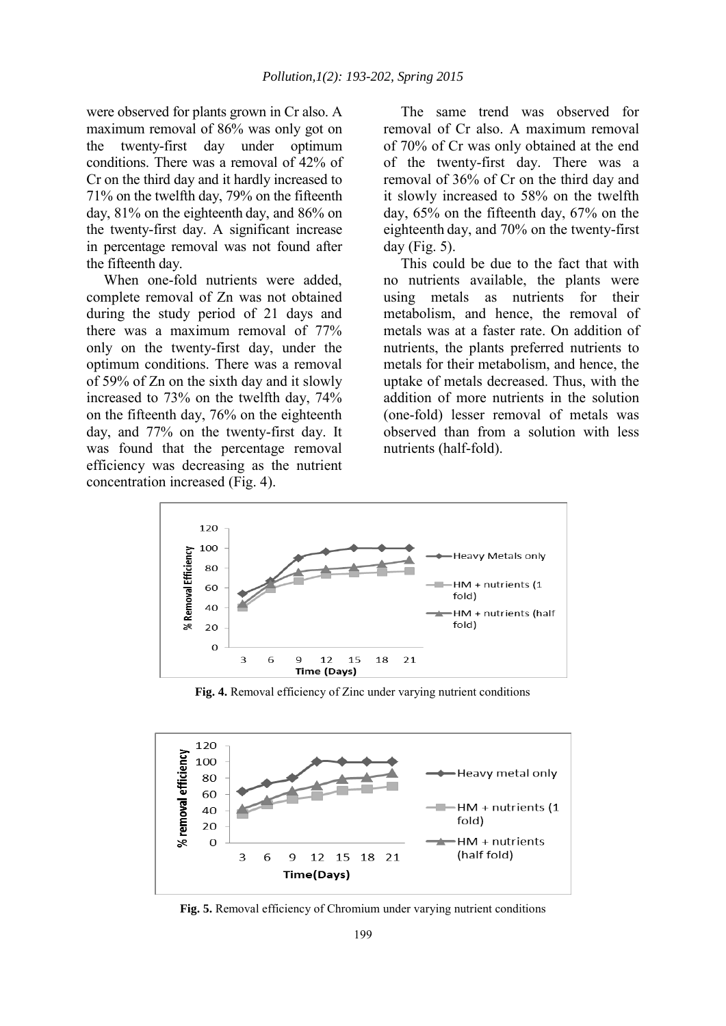were observed for plants grown in Cr also. A maximum removal of 86% was only got on the twenty-first day under optimum conditions. There was a removal of 42% of Cr on the third day and it hardly increased to 71% on the twelfth day, 79% on the fifteenth day, 81% on the eighteenth day, and 86% on the twenty-first day. A significant increase in percentage removal was not found after the fifteenth day.

When one-fold nutrients were added, complete removal of Zn was not obtained during the study period of 21 days and there was a maximum removal of 77% only on the twenty-first day, under the optimum conditions. There was a removal of 59% of Zn on the sixth day and it slowly increased to 73% on the twelfth day, 74% on the fifteenth day, 76% on the eighteenth day, and 77% on the twenty-first day. It was found that the percentage removal efficiency was decreasing as the nutrient concentration increased (Fig. 4).

The same trend was observed for removal of Cr also. A maximum removal of 70% of Cr was only obtained at the end of the twenty-first day. There was a removal of 36% of Cr on the third day and it slowly increased to 58% on the twelfth day, 65% on the fifteenth day, 67% on the eighteenth day, and 70% on the twenty-first day (Fig. 5).

This could be due to the fact that with no nutrients available, the plants were using metals as nutrients for their metabolism, and hence, the removal of metals was at a faster rate. On addition of nutrients, the plants preferred nutrients to metals for their metabolism, and hence, the uptake of metals decreased. Thus, with the addition of more nutrients in the solution (one-fold) lesser removal of metals was observed than from a solution with less nutrients (half-fold).



**Fig. 4.** Removal efficiency of Zinc under varying nutrient conditions



**Fig. 5.** Removal efficiency of Chromium under varying nutrient conditions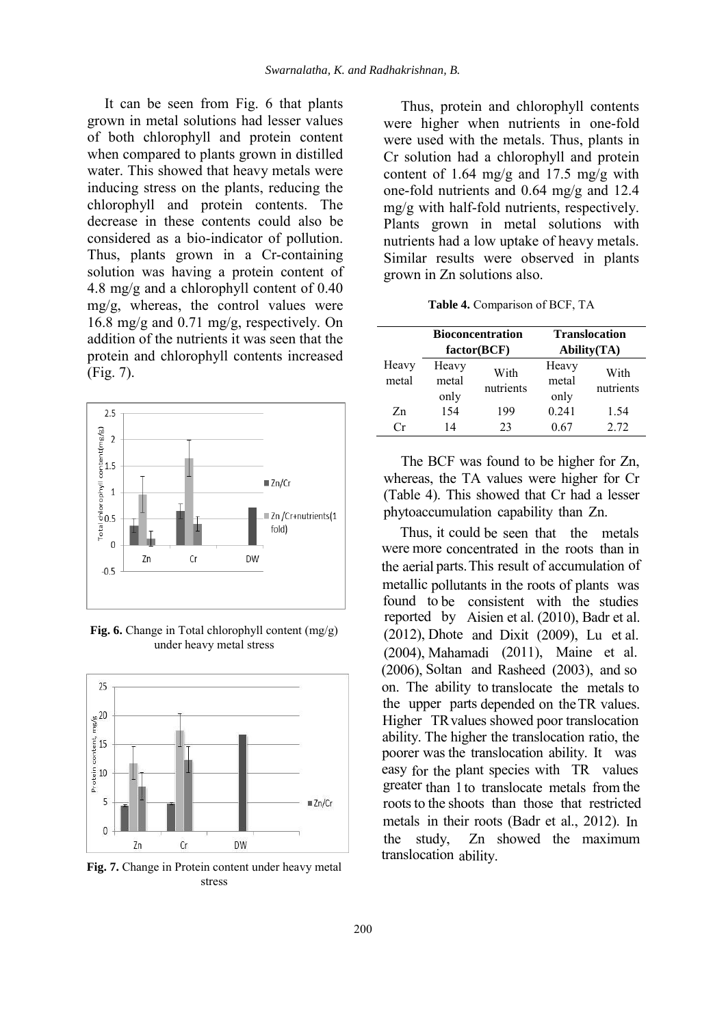It can be seen from Fig. 6 that plants grown in metal solutions had lesser values of both chlorophyll and protein content when compared to plants grown in distilled water. This showed that heavy metals were inducing stress on the plants, reducing the chlorophyll and protein contents. The decrease in these contents could also be considered as a bio-indicator of pollution. Thus, plants grown in a Cr-containing solution was having a protein content of 4.8 mg/g and a chlorophyll content of 0.40  $mg/g$ , whereas, the control values were 16.8 mg/g and 0.71 mg/g, respectively. On addition of the nutrients it was seen that the protein and chlorophyll contents increased (Fig. 7).



**Fig. 6.** Change in Total chlorophyll content (mg/g) under heavy metal stress



**Fig. 7.** Change in Protein content under heavy metal stress

Thus, protein and chlorophyll contents were higher when nutrients in one-fold were used with the metals. Thus, plants in Cr solution had a chlorophyll and protein content of 1.64 mg/g and 17.5 mg/g with one-fold nutrients and 0.64 mg/g and 12.4 mg/g with half-fold nutrients, respectively. Plants grown in metal solutions with nutrients had a low uptake of heavy metals. Similar results were observed in plants grown in Zn solutions also.

| Table 4. Comparison of BCF, TA |
|--------------------------------|
|--------------------------------|

|                |                        | <b>Bioconcentration</b><br>factor(BCF) | <b>Translocation</b><br><b>Ability</b> (TA) |                   |  |
|----------------|------------------------|----------------------------------------|---------------------------------------------|-------------------|--|
| Heavy<br>metal | Heavy<br>metal<br>only | With<br>nutrients                      | Heavy<br>metal<br>only                      | With<br>nutrients |  |
| Zn             | 154                    | 199                                    | 0.241                                       | 1.54              |  |
| $\Gamma$ r     | 14                     | 23                                     | 0.67                                        | 2.72              |  |

The BCF was found to be higher for Zn, whereas, the TA values were higher for Cr (Table 4). This showed that Cr had a lesser phytoaccumulation capability than Zn.

Thus, it could be seen that the metals were more concentrated in the roots than in the aerial parts. This result of accumulation of metallic pollutants in the roots of plants was found to be consistent with the studies reported by Aisien et al. (2010), Badr et al. (2012), Dhote and Dixit (2009), Lu et al. (2004), Mahamadi (2011), Maine et al. (2006), Soltan and Rasheed (2003), and so on. The ability to translocate the metals to the upper parts depended on the TR values. Higher TR values showed poor translocation ability. The higher the translocation ratio, the poorer was the translocation ability. It was easy for the plant species with TR values greater than 1 to translocate metals from the roots to the shoots than those that restricted metals in their roots (Badr et al., 2012). In the study, Zn showed the maximum translocation ability.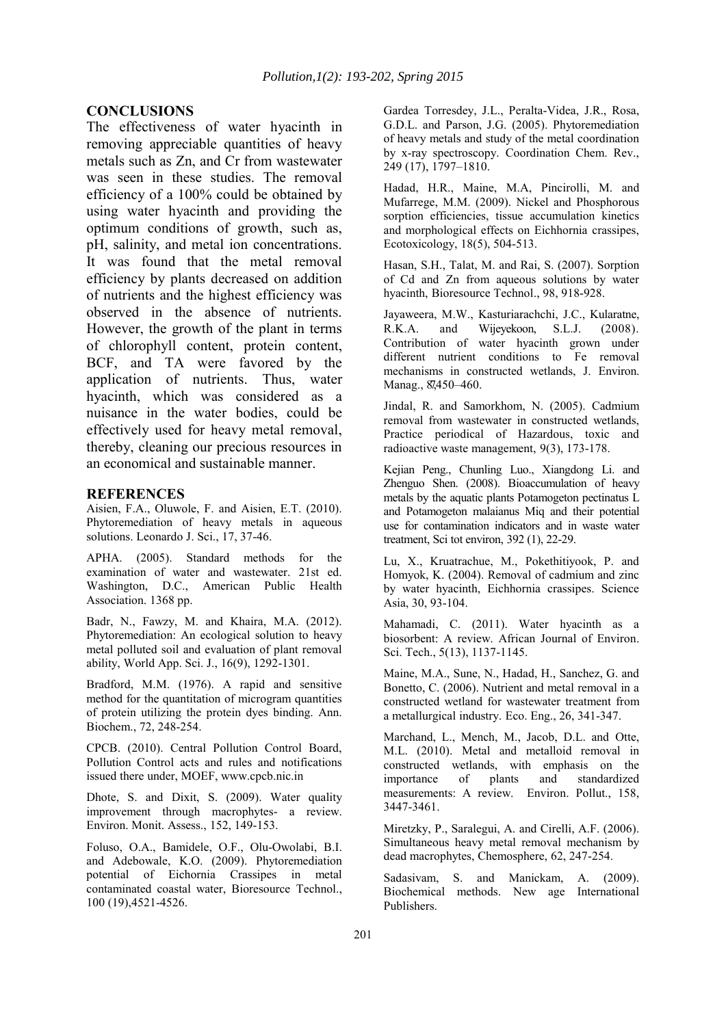#### **CONCLUSIONS**

The effectiveness of water hyacinth in removing appreciable quantities of heavy metals such as Zn, and Cr from wastewater was seen in these studies. The removal efficiency of a 100% could be obtained by using water hyacinth and providing the optimum conditions of growth, such as, pH, salinity, and metal ion concentrations. It was found that the metal removal efficiency by plants decreased on addition of nutrients and the highest efficiency was observed in the absence of nutrients. However, the growth of the plant in terms of chlorophyll content, protein content, BCF, and TA were favored by the application of nutrients. Thus, water hyacinth, which was considered as a nuisance in the water bodies, could be effectively used for heavy metal removal, thereby, cleaning our precious resources in an economical and sustainable manner.

#### **REFERENCES**

Aisien, F.A., Oluwole, F. and Aisien, E.T. (2010). Phytoremediation of heavy metals in aqueous solutions. Leonardo J. Sci., 17, 37-46.

APHA. (2005). Standard methods for the examination of water and wastewater. 21st ed. Washington, D.C., American Public Health Association. 1368 pp.

Badr, N., Fawzy, M. and Khaira, M.A. (2012). Phytoremediation: An ecological solution to heavy metal polluted soil and evaluation of plant removal ability, World App. Sci. J., 16(9), 1292-1301.

Bradford, M.M. (1976). A rapid and sensitive method for the quantitation of microgram quantities of protein utilizing the protein dyes binding. Ann. Biochem., 72, 248-254.

CPCB. (2010). Central Pollution Control Board, Pollution Control acts and rules and notifications issued there under, MOEF, www.cpcb.nic.in

Dhote, S. and Dixit, S. (2009). Water quality improvement through macrophytes- a review. Environ. Monit. Assess., 152, 149-153.

Foluso, O.A., Bamidele, O.F., Olu-Owolabi, B.I. and Adebowale, K.O. (2009). Phytoremediation potential of Eichornia Crassipes in metal contaminated coastal water, Bioresource Technol., 100 (19),4521-4526.

Gardea Torresdey, J.L., Peralta-Videa, J.R., Rosa, G.D.L. and Parson, J.G. (2005). Phytoremediation of heavy metals and study of the metal coordination by x-ray spectroscopy. Coordination Chem. Rev., 249 (17), 1797–1810.

Hadad, H.R., Maine, M.A, Pincirolli, M. and Mufarrege, M.M. (2009). Nickel and Phosphorous sorption efficiencies, tissue accumulation kinetics and morphological effects on Eichhornia crassipes, Ecotoxicology, 18(5), 504-513.

Hasan, S.H., Talat, M. and Rai, S. (2007). Sorption of Cd and Zn from aqueous solutions by water hyacinth, Bioresource Technol., 98, 918-928.

Jayaweera, M.W., Kasturiarachchi, J.C., Kularatne, R.K.A. and Wijeyekoon, S.L.J. (2008). Contribution of water hyacinth grown under different nutrient conditions to Fe removal mechanisms in constructed wetlands, J. Environ. Manag., 87,450-460.

Jindal, R. and Samorkhom, N. (2005). Cadmium removal from wastewater in constructed wetlands, Practice periodical of Hazardous, toxic and radioactive waste management, 9(3), 173-178.

Kejian Peng., Chunling Luo., Xiangdong Li. and Zhenguo Shen. (2008). Bioaccumulation of heavy metals by the aquatic plants Potamogeton pectinatus L and Potamogeton malaianus Miq and their potential use for contamination indicators and in waste water treatment, Sci tot environ, 392 (1), 22-29.

Lu, X., Kruatrachue, M., Pokethitiyook, P. and Homyok, K. (2004). Removal of cadmium and zinc by water hyacinth, Eichhornia crassipes. Science Asia, 30, 93-104.

Mahamadi, C. (2011). Water hyacinth as a biosorbent: A review. African Journal of Environ. Sci. Tech., 5(13), 1137-1145.

Maine, M.A., Sune, N., Hadad, H., Sanchez, G. and Bonetto, C. (2006). Nutrient and metal removal in a constructed wetland for wastewater treatment from a metallurgical industry. Eco. Eng., 26, 341-347.

Marchand, L., Mench, M., Jacob, D.L. and Otte, M.L. (2010). Metal and metalloid removal in constructed wetlands, with emphasis on the importance of plants and standardized measurements: A review. Environ. Pollut., 158, 3447-3461.

Miretzky, P., Saralegui, A. and Cirelli, A.F. (2006). Simultaneous heavy metal removal mechanism by dead macrophytes, Chemosphere, 62, 247-254.

Sadasivam, S. and Manickam, A. (2009). Biochemical methods. New age International Publishers.